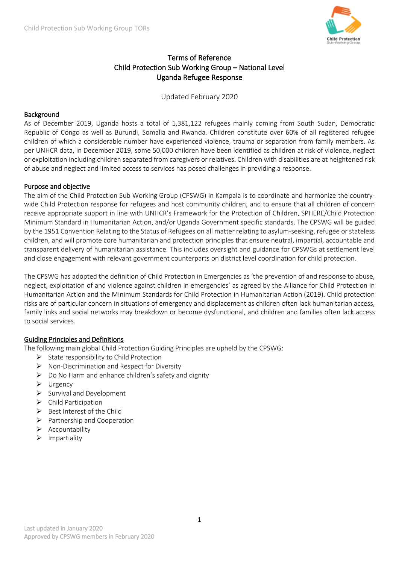

# Terms of Reference Child Protection Sub Working Group – National Level Uganda Refugee Response

Updated February 2020

#### Background

As of December 2019, Uganda hosts a total of 1,381,122 refugees mainly coming from South Sudan, Democratic Republic of Congo as well as Burundi, Somalia and Rwanda. Children constitute over 60% of all registered refugee children of which a considerable number have experienced violence, trauma or separation from family members. As per UNHCR data, in December 2019, some 50,000 children have been identified as children at risk of violence, neglect or exploitation including children separated from caregivers or relatives. Children with disabilities are at heightened risk of abuse and neglect and limited access to services has posed challenges in providing a response.

#### Purpose and objective

The aim of the Child Protection Sub Working Group (CPSWG) in Kampala is to coordinate and harmonize the countrywide Child Protection response for refugees and host community children, and to ensure that all children of concern receive appropriate support in line with UNHCR's Framework for the Protection of Children, SPHERE/Child Protection Minimum Standard in Humanitarian Action, and/or Uganda Government specific standards. The CPSWG will be guided by the 1951 Convention Relating to the Status of Refugees on all matter relating to asylum-seeking, refugee or stateless children, and will promote core humanitarian and protection principles that ensure neutral, impartial, accountable and transparent delivery of humanitarian assistance. This includes oversight and guidance for CPSWGs at settlement level and close engagement with relevant government counterparts on district level coordination for child protection.

The CPSWG has adopted the definition of Child Protection in Emergencies as 'the prevention of and response to abuse, neglect, exploitation of and violence against children in emergencies' as agreed by the Alliance for Child Protection in Humanitarian Action and the Minimum Standards for Child Protection in Humanitarian Action (2019). Child protection risks are of particular concern in situations of emergency and displacement as children often lack humanitarian access, family links and social networks may breakdown or become dysfunctional, and children and families often lack access to social services.

#### Guiding Principles and Definitions

The following main global Child Protection Guiding Principles are upheld by the CPSWG:

- ➢ State responsibility to Child Protection
- ➢ Non-Discrimination and Respect for Diversity
- $\triangleright$  Do No Harm and enhance children's safety and dignity
- ➢ Urgency
- ➢ Survival and Development
- ➢ Child Participation
- $\triangleright$  Best Interest of the Child
- ➢ Partnership and Cooperation
- ➢ Accountability
- ➢ Impartiality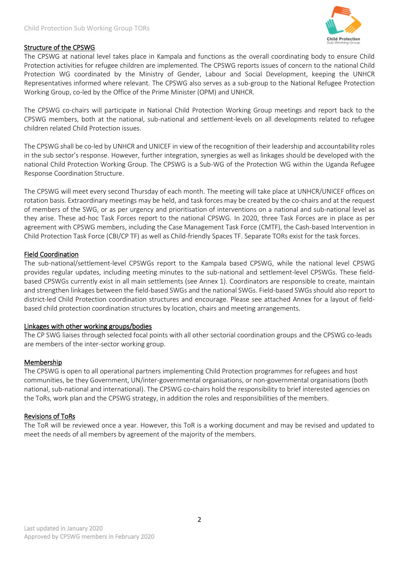

## Structure of the CPSWG

The CPSWG at national level takes place in Kampala and functions as the overall coordinating body to ensure Child Protection activities for refugee children are implemented. The CPSWG reports issues of concern to the national Child Protection WG coordinated by the Ministry of Gender, Labour and Social Development, keeping the UNHCR Representatives informed where relevant. The CPSWG also serves as a sub-group to the National Refugee Protection Working Group, co-led by the Office of the Prime Minister (OPM) and UNHCR.

The CPSWG co-chairs will participate in National Child Protection Working Group meetings and report back to the CPSWG members, both at the national, sub-national and settlement-levels on all developments related to refugee children related Child Protection issues.

The CPSWG shall be co-led by UNHCR and UNICEF in view of the recognition of their leadership and accountability roles in the sub sector's response. However, further integration, synergies as well as linkages should be developed with the national Child Protection Working Group. The CPSWG is a Sub-WG of the Protection WG within the Uganda Refugee Response Coordination Structure.

The CPSWG will meet every second Thursday of each month. The meeting will take place at UNHCR/UNICEF offices on rotation basis. Extraordinary meetings may be held, and task forces may be created by the co-chairs and at the request of members of the SWG, or as per urgency and prioritisation of interventions on a national and sub-national level as they arise. These ad-hoc Task Forces report to the national CPSWG. In 2020, three Task Forces are in place as per agreement with CPSWG members, including the Case Management Task Force (CMTF), the Cash-based Intervention in Child Protection Task Force (CBI/CP TF) as well as Child-friendly Spaces TF. Separate TORs exist for the task forces.

#### Field Coordination

The sub-national/settlement-level CPSWGs report to the Kampala based CPSWG, while the national level CPSWG provides regular updates, including meeting minutes to the sub-national and settlement-level CPSWGs. These fieldbased CPSWGs currently exist in all main settlements (see Annex 1). Coordinators are responsible to create, maintain and strengthen linkages between the field-based SWGs and the national SWGs. Field-based SWGs should also report to district-led Child Protection coordination structures and encourage. Please see attached Annex for a layout of fieldbased child protection coordination structures by location, chairs and meeting arrangements.

#### Linkages with other working groups/bodies

The CP SWG liaises through selected focal points with all other sectorial coordination groups and the CPSWG co-leads are members of the inter-sector working group.

#### Membership

The CPSWG is open to all operational partners implementing Child Protection programmes for refugees and host communities, be they Government, UN/inter-governmental organisations, or non-governmental organisations (both national, sub-national and international). The CPSWG co-chairs hold the responsibility to brief interested agencies on the ToRs, work plan and the CPSWG strategy, in addition the roles and responsibilities of the members.

#### Revisions of ToRs

The ToR will be reviewed once a year. However, this ToR is a working document and may be revised and updated to meet the needs of all members by agreement of the majority of the members.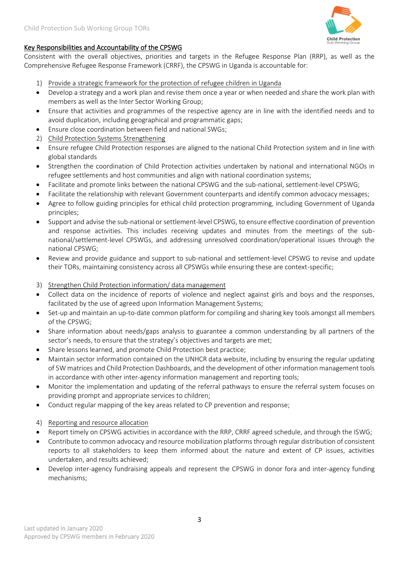

## Key Responsibilities and Accountability of the CPSWG

Consistent with the overall objectives, priorities and targets in the Refugee Response Plan (RRP), as well as the Comprehensive Refugee Response Framework (CRRF), the CPSWG in Uganda is accountable for:

- 1) Provide a strategic framework for the protection of refugee children in Uganda
- Develop a strategy and a work plan and revise them once a year or when needed and share the work plan with members as well as the Inter Sector Working Group;
- Ensure that activities and programmes of the respective agency are in line with the identified needs and to avoid duplication, including geographical and programmatic gaps;
- Ensure close coordination between field and national SWGs;
- 2) Child Protection Systems Strengthening
- Ensure refugee Child Protection responses are aligned to the national Child Protection system and in line with global standards
- Strengthen the coordination of Child Protection activities undertaken by national and international NGOs in refugee settlements and host communities and align with national coordination systems;
- Facilitate and promote links between the national CPSWG and the sub-national, settlement-level CPSWG;
- Facilitate the relationship with relevant Government counterparts and identify common advocacy messages;
- Agree to follow guiding principles for ethical child protection programming, including Government of Uganda principles;
- Support and advise the sub-national or settlement-level CPSWG, to ensure effective coordination of prevention and response activities. This includes receiving updates and minutes from the meetings of the subnational/settlement-level CPSWGs, and addressing unresolved coordination/operational issues through the national CPSWG;
- Review and provide guidance and support to sub-national and settlement-level CPSWG to revise and update their TORs, maintaining consistency across all CPSWGs while ensuring these are context-specific;
- 3) Strengthen Child Protection information/ data management
- Collect data on the incidence of reports of violence and neglect against girls and boys and the responses, facilitated by the use of agreed upon Information Management Systems;
- Set-up and maintain an up-to-date common platform for compiling and sharing key tools amongst all members of the CPSWG;
- Share information about needs/gaps analysis to guarantee a common understanding by all partners of the sector's needs, to ensure that the strategy's objectives and targets are met;
- Share lessons learned, and promote Child Protection best practice;
- Maintain sector information contained on the UNHCR data website, including by ensuring the regular updating of 5W matrices and Child Protection Dashboards, and the development of other information management tools in accordance with other inter-agency information management and reporting tools;
- Monitor the implementation and updating of the referral pathways to ensure the referral system focuses on providing prompt and appropriate services to children;
- Conduct regular mapping of the key areas related to CP prevention and response;
- 4) Reporting and resource allocation
- Report timely on CPSWG activities in accordance with the RRP, CRRF agreed schedule, and through the ISWG;
- Contribute to common advocacy and resource mobilization platforms through regular distribution of consistent reports to all stakeholders to keep them informed about the nature and extent of CP issues, activities undertaken, and results achieved;
- Develop inter-agency fundraising appeals and represent the CPSWG in donor fora and inter-agency funding mechanisms;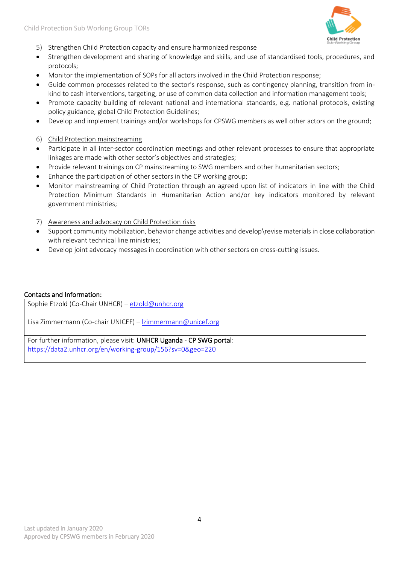

- 5) Strengthen Child Protection capacity and ensure harmonized response
- Strengthen development and sharing of knowledge and skills, and use of standardised tools, procedures, and protocols;
- Monitor the implementation of SOPs for all actors involved in the Child Protection response;
- Guide common processes related to the sector's response, such as contingency planning, transition from inkind to cash interventions, targeting, or use of common data collection and information management tools;
- Promote capacity building of relevant national and international standards, e.g. national protocols, existing policy guidance, global Child Protection Guidelines;
- Develop and implement trainings and/or workshops for CPSWG members as well other actors on the ground;
- 6) Child Protection mainstreaming
- Participate in all inter-sector coordination meetings and other relevant processes to ensure that appropriate linkages are made with other sector's objectives and strategies;
- Provide relevant trainings on CP mainstreaming to SWG members and other humanitarian sectors;
- Enhance the participation of other sectors in the CP working group;
- Monitor mainstreaming of Child Protection through an agreed upon list of indicators in line with the Child Protection Minimum Standards in Humanitarian Action and/or key indicators monitored by relevant government ministries;
- 7) Awareness and advocacy on Child Protection risks
- Support community mobilization, behavior change activities and develop\revise materials in close collaboration with relevant technical line ministries;
- Develop joint advocacy messages in coordination with other sectors on cross-cutting issues.

#### Contacts and Information:

Sophie Etzold (Co-Chair UNHCR) – [etzold@unhcr.org](mailto:etzold@unhcr.org)

Lisa Zimmermann (Co-chair UNICEF) – [lzimmermann@unicef.org](mailto:lzimmermann@unicef.org)

For further information, please visit: UNHCR Uganda - CP SWG portal: <https://data2.unhcr.org/en/working-group/156?sv=0&geo=220>